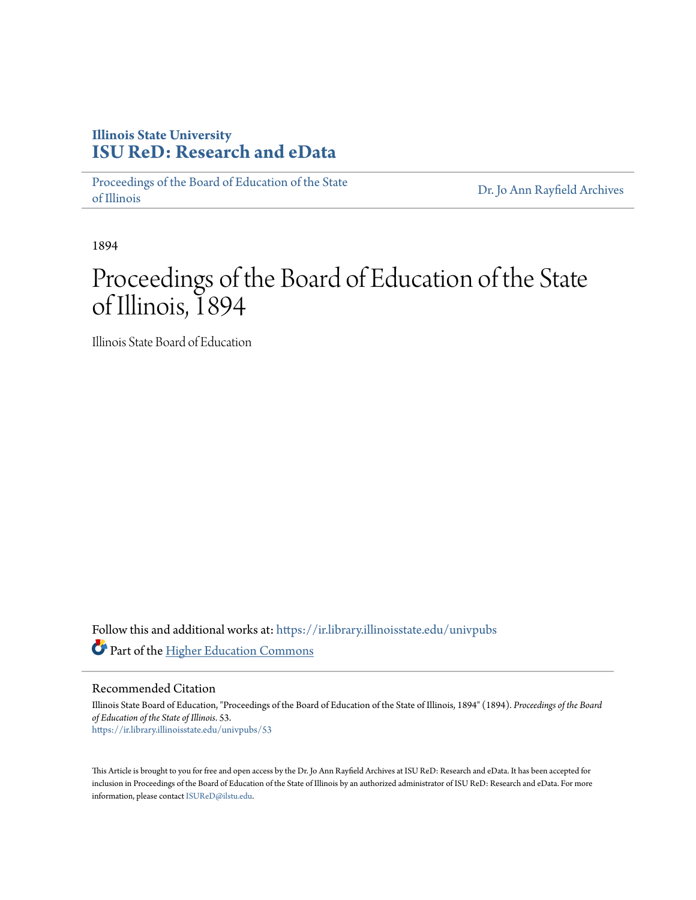## **Illinois State University [ISU ReD: Research and eData](https://ir.library.illinoisstate.edu?utm_source=ir.library.illinoisstate.edu%2Funivpubs%2F53&utm_medium=PDF&utm_campaign=PDFCoverPages)**

[Proceedings of the Board of Education of the State](https://ir.library.illinoisstate.edu/univpubs?utm_source=ir.library.illinoisstate.edu%2Funivpubs%2F53&utm_medium=PDF&utm_campaign=PDFCoverPages) [of Illinois](https://ir.library.illinoisstate.edu/univpubs?utm_source=ir.library.illinoisstate.edu%2Funivpubs%2F53&utm_medium=PDF&utm_campaign=PDFCoverPages)

[Dr. Jo Ann Rayfield Archives](https://ir.library.illinoisstate.edu/arch?utm_source=ir.library.illinoisstate.edu%2Funivpubs%2F53&utm_medium=PDF&utm_campaign=PDFCoverPages)

1894

## Proceedings of the Board of Education of the State of Illinois, 1894

Illinois State Board of Education

Follow this and additional works at: [https://ir.library.illinoisstate.edu/univpubs](https://ir.library.illinoisstate.edu/univpubs?utm_source=ir.library.illinoisstate.edu%2Funivpubs%2F53&utm_medium=PDF&utm_campaign=PDFCoverPages) Part of the [Higher Education Commons](http://network.bepress.com/hgg/discipline/1245?utm_source=ir.library.illinoisstate.edu%2Funivpubs%2F53&utm_medium=PDF&utm_campaign=PDFCoverPages)

Recommended Citation

Illinois State Board of Education, "Proceedings of the Board of Education of the State of Illinois, 1894" (1894). *Proceedings of the Board of Education of the State of Illinois*. 53. [https://ir.library.illinoisstate.edu/univpubs/53](https://ir.library.illinoisstate.edu/univpubs/53?utm_source=ir.library.illinoisstate.edu%2Funivpubs%2F53&utm_medium=PDF&utm_campaign=PDFCoverPages)

This Article is brought to you for free and open access by the Dr. Jo Ann Rayfield Archives at ISU ReD: Research and eData. It has been accepted for inclusion in Proceedings of the Board of Education of the State of Illinois by an authorized administrator of ISU ReD: Research and eData. For more information, please contact [ISUReD@ilstu.edu.](mailto:ISUReD@ilstu.edu)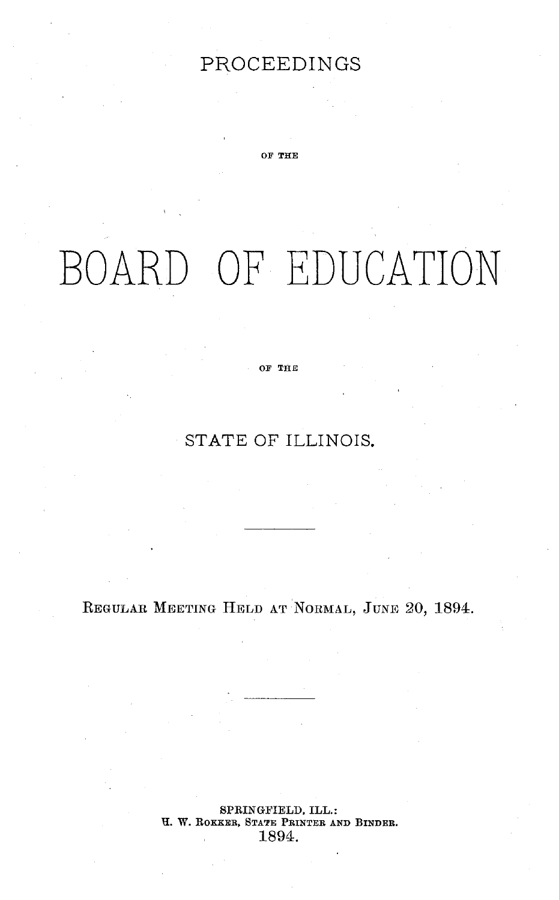## PROCEEDINGS

**OF THE**

# BOARD OF EDUCATION

#### **OF THE**

## STATE OF ILLINOIS.

REGULAR MEETING HELD AT NORMAL, JUNE 20, 1894.

SPRINGFIELD, ILL.: H. W. **ROKKER, STATE** PRINTER **AND BINDER.** 1894.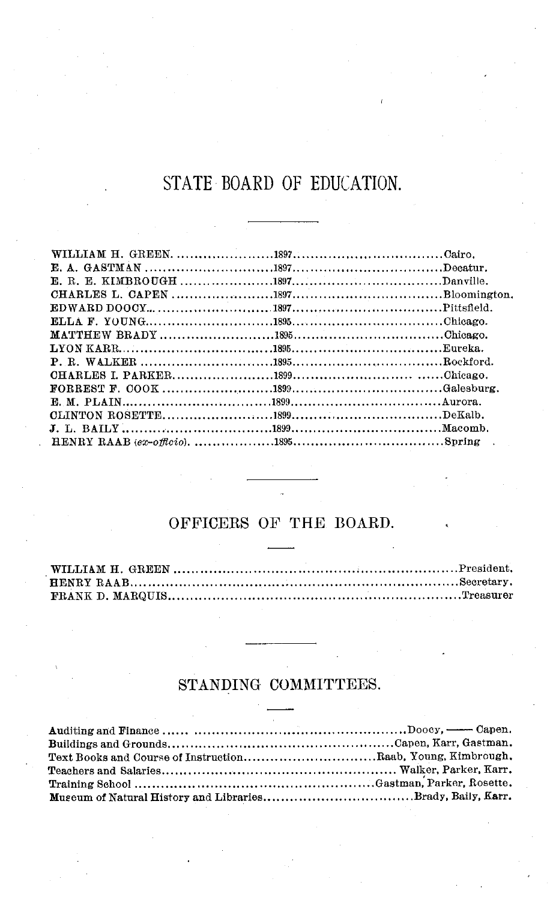## STATE BOARD OF EDUCATION.

### OFFICERS OF THE BOARD.

## STANDING COMMITTEES.

| Text Books and Course of InstructionRaab, Young, Kimbrough. |
|-------------------------------------------------------------|
|                                                             |
|                                                             |
|                                                             |
|                                                             |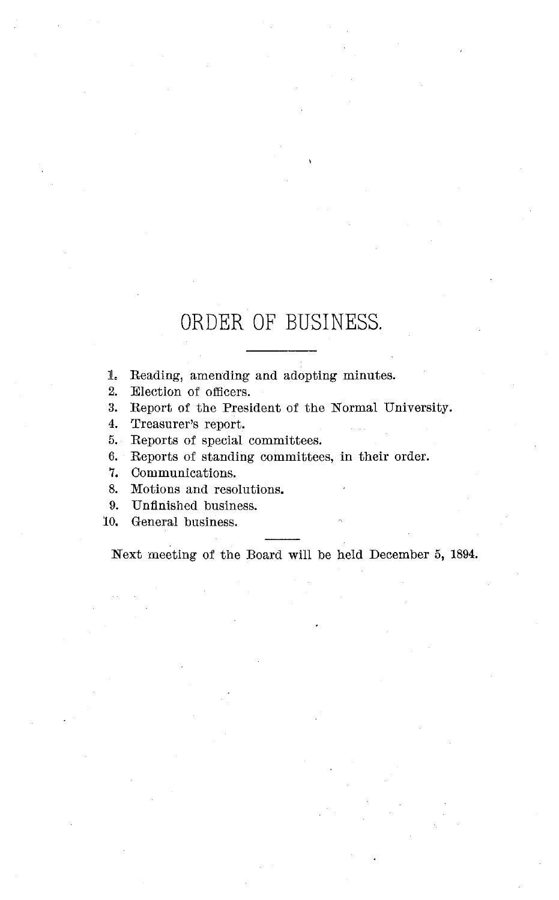## ORDER OF BUSINESS.

1. Reading, amending and adopting minutes.

2. Election of officers.

3. Report of the President of the Normal University.

4. Treasurer's report.

5. Reports of special committees.

6. Reports of standing committees, in their order.

7. Communications.

8. Motions and resolutions.

9. Unfinished business.

10. General business.

Next meeting of the Board will be held December 5, 1894.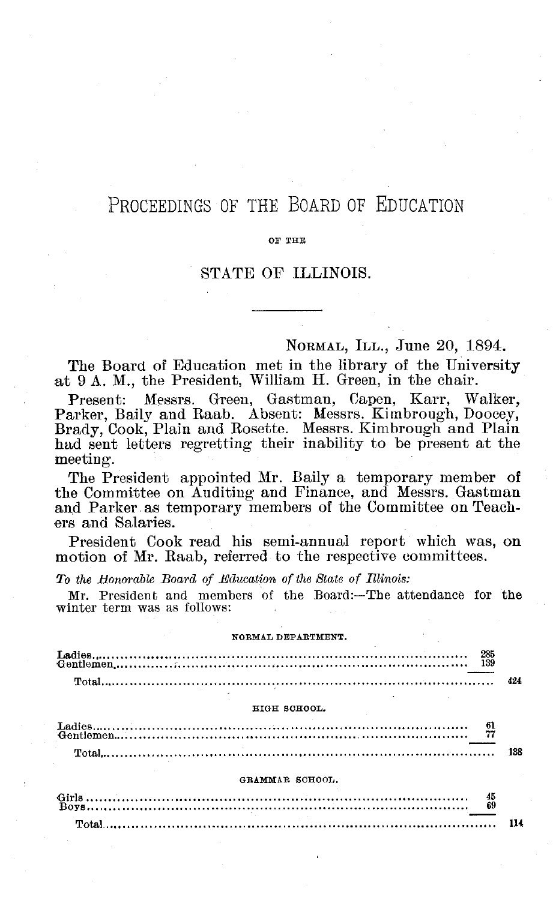## PROCEEDINGS OF THE BOARD OF EDUCATION

#### OF THE

#### STATE OF ILLINOIS.

NORMAL, ILL., June 20, 1894.

The Board of Education met in the library of the University at 9 A. M., the President, William H. Green, in the chair.

Present: Messrs. Green, Gastman, Capen, Karr, Walker Parker, Baily and Raab. Absent: Messrs. Kimbrough, Doocey, Brady, Cook, Plain and Rosette. Messrs. Kimbrough and Plain had sent letters regretting their inability to be present at the meeting.

The President appointed Mr. Baily a temporary member of the Committee on Auditing and Finance, and Messrs. Gastman and Parker as temporary members of the Committee on Teachers and Salaries.

President Cook read his semi-annual report which was, on motion of Mr. Raab, referred to the respective committees.

*To the Honorable Board of Education of the State of Illinois:*

Mr. President and members of the Board:-The attendance for the winter term was as follows:

#### NORMAL DEPARTMENT.

| HIGH SCHOOL.                                                                                                                                                                                                                                                                                                                                                                                                                                                                                                       |  |
|--------------------------------------------------------------------------------------------------------------------------------------------------------------------------------------------------------------------------------------------------------------------------------------------------------------------------------------------------------------------------------------------------------------------------------------------------------------------------------------------------------------------|--|
| $\begin{minipage}{0.9\linewidth} \textbf{Ladies} \begin{minipage}{0.9\linewidth} \textbf{G} & \textbf{0} \\ \textbf{Gentlemen} \end{minipage} \begin{minipage}{0.9\linewidth} \begin{minipage}{0.9\linewidth} \begin{minipage}{0.9\linewidth} \textbf{G} & \textbf{0} \\ \textbf{0} \end{minipage} \end{minipage} \begin{minipage}{0.9\linewidth} \begin{minipage}{0.9\linewidth} \begin{minipage}{0.9\linewidth} \begin{minipage}{0.9\linewidth} \textbf{G} & \textbf{0} \\ \textbf{0} \end{minipage} \end{minip$ |  |

|  | 138 |
|--|-----|

#### GRAMMAR SCHOOL.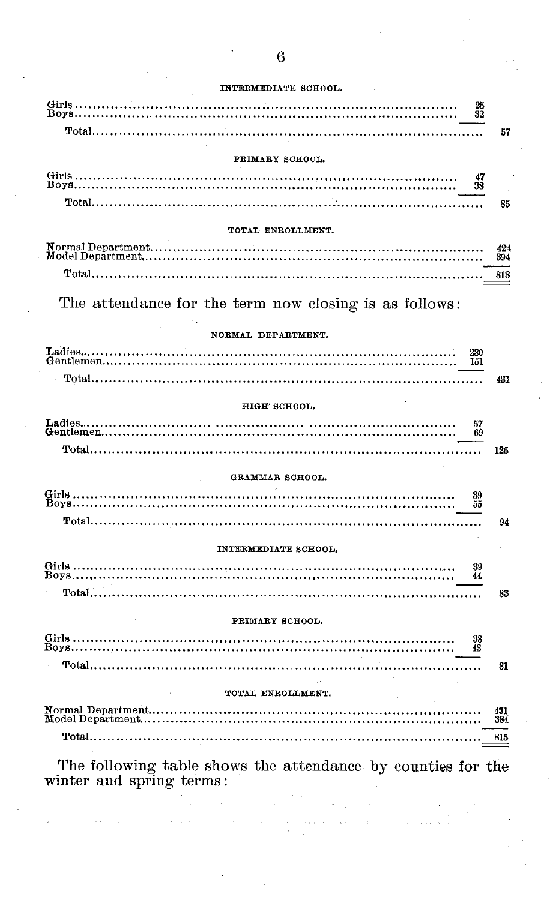#### INTERMEDIATE SCHOOL

|                                                                | 25<br>32 |            |
|----------------------------------------------------------------|----------|------------|
| $\text{Total} \dots \dots \dots \dots \dots \dots \dots \dots$ |          | 57         |
|                                                                |          |            |
| PRIMARY SCHOOL.                                                |          |            |
|                                                                | 47<br>38 |            |
|                                                                |          | 85         |
|                                                                |          |            |
| TOTAL ENROLLMENT.                                              |          |            |
|                                                                |          | 424<br>394 |
| Total                                                          |          | 818        |
|                                                                |          |            |
| The attendance for the term now closing is as follows:         |          |            |
| NORMAL DEPARTMENT.                                             |          |            |
|                                                                | 280      |            |
|                                                                | 151      |            |
|                                                                |          | 431        |
| HIGH SCHOOL.                                                   |          |            |
|                                                                | 57<br>69 |            |
|                                                                |          | 126        |
| GRAMMAR SCHOOL.                                                |          |            |
|                                                                | 39       |            |
|                                                                | 55       |            |
|                                                                |          | 94         |
| INTERMEDIATE SCHOOL.                                           |          |            |
|                                                                | 39       |            |
|                                                                | 44       |            |
|                                                                |          | 83         |
| PRIMARY SCHOOL.                                                |          |            |
|                                                                | 38<br>43 |            |
|                                                                |          | 81         |
| TOTAL ENROLLMENT.                                              |          |            |
|                                                                |          |            |
|                                                                |          | 431<br>384 |
|                                                                |          |            |
|                                                                |          | 815        |

The following table shows the attendance by counties for the winter and spring terms: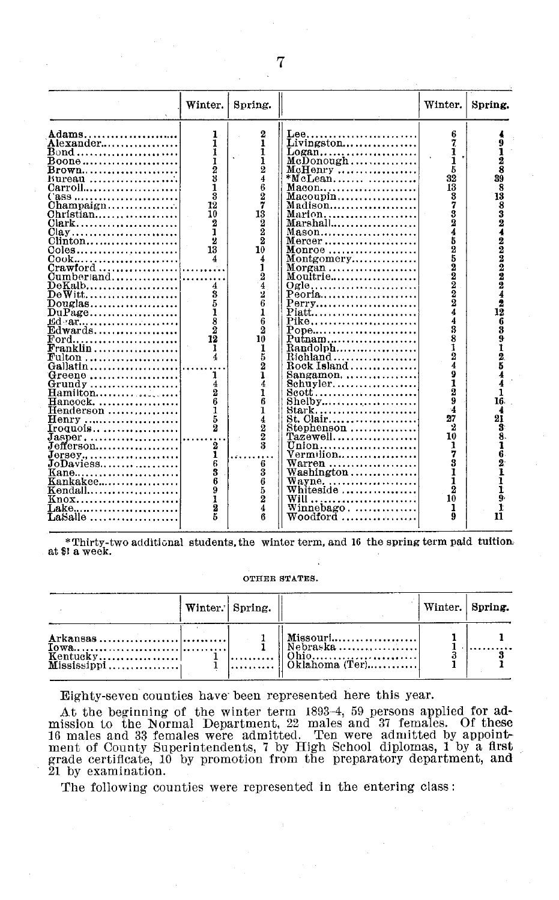|                                                         | Winter.                      | Spring.                                        |                                                       | Winter.                 | Spring.        |
|---------------------------------------------------------|------------------------------|------------------------------------------------|-------------------------------------------------------|-------------------------|----------------|
| Adams.                                                  | 1                            |                                                | $\mathbf{L}$ ee                                       | 6                       |                |
| Alexander                                               | 1                            | $\frac{2}{1}$                                  | $Livington \ldots$                                    | 7                       |                |
| Bond                                                    | 1                            |                                                | Logan                                                 | ı                       |                |
| Boone                                                   | 123                          | $\frac{1}{2}$                                  |                                                       | 1                       | $\frac{2}{8}$  |
| Brown <b>.</b> .                                        |                              |                                                | $McHenry$                                             | 5                       |                |
| Bureau                                                  |                              | $\frac{4}{6}$                                  | $*$ McLean                                            | 32                      | 39             |
| Carroll                                                 |                              |                                                | $Maeon$                                               | 13                      | 8              |
| Cass                                                    | ä                            | $\frac{27}{32}$                                | $\text{Macoupin} \dots \dots \dots \dots \dots \dots$ | 3                       | 13             |
| $Champaigen$                                            | 12                           |                                                | Madison                                               | 7                       | 8              |
| $Christian.$                                            | 10                           |                                                | Marion                                                | 3<br>2                  | 3<br>2         |
| Clark                                                   | 2                            |                                                | Marshall                                              |                         |                |
| $Clay$                                                  | 1                            |                                                | $Mason$                                               | $\overline{\mathbf{4}}$ |                |
| Clinton                                                 | 2                            |                                                | $Mercer$                                              | 5                       |                |
| Coles                                                   | 13                           | 10                                             | Monroe                                                | $\mathbf 2$             | 422222         |
| Cook                                                    | 4                            | 4                                              | Montgomery                                            | 5                       |                |
| $Crawford$                                              |                              |                                                | Morgan $\ldots \ldots \ldots \ldots \ldots$           |                         |                |
| $Cumberland, \ldots, \ldots, \ldots$                    |                              | $\frac{1}{2}$                                  | $M$ oultrie                                           | 2022                    |                |
| $\mathbf{\overline{D}}$ eKalb $\ldots$                  |                              |                                                | Ogle                                                  |                         |                |
| DeWitt                                                  | 3                            | 2                                              | Peoria                                                |                         |                |
| $\operatorname{Douglas}$                                | 5                            | 6                                              | Perry                                                 | $\overline{2}$          | $\frac{2}{12}$ |
| $DuPage$                                                | i                            | 1                                              | Piatt                                                 | 4                       |                |
|                                                         | $\bar{\textbf{3}}\textbf{2}$ | 6                                              | Pike                                                  | 4                       | 6              |
|                                                         |                              | 2                                              | Pope                                                  | 3                       | 3              |
| $_{\rm Ford.}$                                          | 12                           | 10                                             | $\text{Putnam}$                                       | 8                       | ğ              |
| $\textbf{Franklin} \dots \dots \dots \dots \dots \dots$ | 1                            | 1                                              |                                                       | ı                       | $\frac{1}{2}$  |
|                                                         | 4                            | 5                                              | $Richard \ldots \ldots \ldots \ldots \ldots$          | $\overline{2}$          |                |
| Gallatin                                                |                              | $\overline{2}$                                 | $\text{Rock Island} \dots \dots \dots \dots$          | 4                       |                |
| Greene                                                  | 1                            | ı                                              |                                                       | 9                       |                |
| Grundy                                                  | 4                            | 4                                              | $8$ chuyler                                           | 1                       |                |
| Hamilton                                                | $\overline{2}$               | ī                                              | Scott                                                 | $\overline{2}$          |                |
| Hancock.                                                | 6                            | 6                                              | $Shelby \ldots \ldots \ldots \ldots \ldots$           | 9                       | 16.            |
| $\rm{Henderson} \, \ldots \ldots \ldots \ldots \ldots$  | 1                            | Ĩ                                              | Stark                                                 | 4                       |                |
| <b>Henry ……………………</b>                                   | 5<br>$\bar{2}$               | $^{4}_{2}_{2}$                                 | St. Clair                                             | 27                      | 21             |
| Iroquois                                                |                              |                                                | Stephenson                                            | 2                       | Ŧ.             |
| $Jasper$                                                |                              |                                                | $\mathtt{Tazewell}.\dots\dots\dots\dots\dots\dots$    | 10                      | 8.             |
| $Jefferson$                                             | 2                            |                                                | Union                                                 | 1                       |                |
| $J$ orsey.,                                             | 1<br>ē                       |                                                | Vermilion                                             | 7<br>3                  | 6              |
| $JoDavies \ldots  \ldots $                              |                              | $\begin{smallmatrix} 6 \\ 3 \end{smallmatrix}$ | $Warren$                                              |                         | 2              |
| Kane                                                    | 3<br>6                       |                                                | Washington                                            | 1                       | ı              |
| $\verb Kankake , \ldots, \ldots, \ldots, \ldots$        | ġ                            | $\frac{6}{2}$                                  | $W$ ayne                                              | 1<br>$\overline{2}$     |                |
| Kendall                                                 |                              |                                                | ${\bf Whiteside}\,\ldots\ldots\ldots\ldots\ldots$     | 10                      | g,             |
|                                                         |                              |                                                |                                                       |                         |                |
| Lake                                                    | $\overline{\mathbf{2}}$      | 4                                              | $Winnebago. \ldots \ldots \ldots$                     | 1<br>9                  | n              |
| LaSalle                                                 | 5                            | ß                                              | Woodford                                              |                         |                |

\* Thirty-two additional students, the winter term, and 16 the spring term paid tuition at \$1 a week.

#### OTHER **STATES.**

|                            | Winter. Spring. |                                                                                                               | Winter. Spring. |  |
|----------------------------|-----------------|---------------------------------------------------------------------------------------------------------------|-----------------|--|
| Kentucky <br>$Mississippi$ |                 | d Missouri <sup>1</sup><br>  Nebraska<br>$  $ Ohio<br>$\left  \ldots \right $ $\left  \right $ Oklahoma (Ter) |                 |  |

Eighty-seven counties have been represented here this year.

At the beginning of the winter term 1893–4, 59 persons applied for admission to the Normal Department, 22 males and 37 females. Of these<br>16 males and 33 females were admitted. Ten were admitted by appointment of County Superintendents, 7 by High School diplomas, 1 by a first<br>grade certificate, 10 by promotion from the preparatory department, and 21 by examination.

The following counties were represented in the entering class: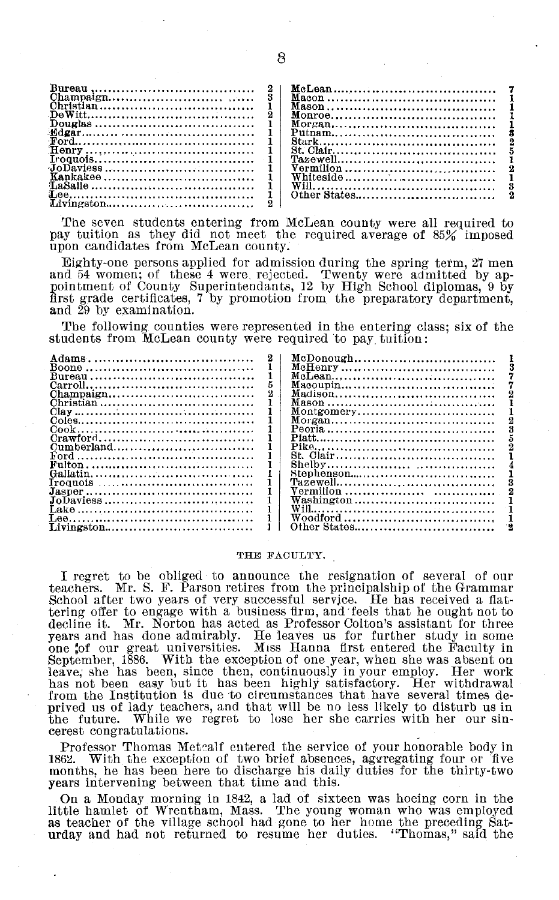| Vermilion<br>Other States<br>Livingston |
|-----------------------------------------|
|-----------------------------------------|

The seven students entering from McLean county were all required to pay tuition as they did not meet the required average of 85% imposed upon candidates from McLean county.

Eighty-one persons applied for admission during the spring term, 27 men<br>and 54 women; of these 4 were rejected. Twenty were admitted by appointment of County Superintendants, 12 by High School diplomas, 9 by first grade certificates, 7 by promotion from the preparatory department, and 29 by examination.

The following counties were represented in the entering class; six of the students from McLean county were required to pay tuition:

|                                                                     | McDonough                                                                                    |
|---------------------------------------------------------------------|----------------------------------------------------------------------------------------------|
|                                                                     |                                                                                              |
|                                                                     |                                                                                              |
|                                                                     | Macoupin                                                                                     |
| $Champaien \ldots \ldots \ldots \ldots \ldots \ldots \ldots \ldots$ | Madison                                                                                      |
| Christian                                                           |                                                                                              |
|                                                                     | Montgomery                                                                                   |
|                                                                     |                                                                                              |
|                                                                     |                                                                                              |
| Crawford                                                            |                                                                                              |
|                                                                     |                                                                                              |
|                                                                     | St. Clair                                                                                    |
|                                                                     |                                                                                              |
|                                                                     |                                                                                              |
| Iroquois                                                            |                                                                                              |
|                                                                     |                                                                                              |
| JoDaviess                                                           | ${\bf Washington}\, \dots \dots \dots \dots \dots \dots \dots \dots \dots \dots \dots \dots$ |
|                                                                     |                                                                                              |
|                                                                     | Woodford                                                                                     |
| Livingston                                                          | Other States                                                                                 |

#### THE FACULTY.

I regret to be obliged to announce the resignation of several of our teachers. Mr. S. F. Parson retires from the principalship of the Grammar School after two years of very successful service. He has received a flat-School after two years of very successful service. He has received a flat-<br>tering offer to engage with a business firm, and feels that he ought not to<br>decline it. Mr. Norton has acted as Professor Colton's assistant for th from the Institution is due to circumstances that have several times deprived us of lady teachers, and that will be no less likely to disturb us in While we regret to lose her she carries with her our sinthe future. cerest congratulations.

Professor Thomas Metcalf entered the service of your honorable body in With the exception of two brief absences, aggregating four or five months, he has been here to discharge his daily duties for the thirty-two years intervening between that time and this.

On a Monday morning in 1842, a lad of sixteen was hoeing corn in the little hamlet of Wrentham, Mass. The young woman who was employed as teacher of the village school had gone to her home the preceding Saturday and had no

8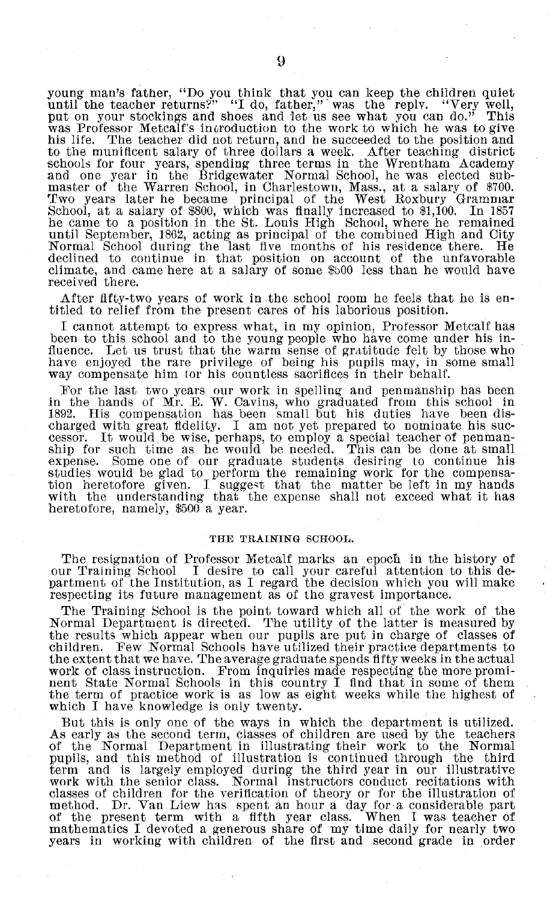young man's father, "Do you think that you can keep the children quiet until the teacher returns?" "I do, father," was the reply. "Very well, put on your stockings and shoes and let us see what you can do." This was Professor Metcalf's incroduction to the work to which he was to give his life. The teacher did not return, and he succeeded to the position and to the munificent salary of three dollars a week. After teaching district schools for four years, spending three terms in the Wrentham Academy and one year in the Bridgewater Normal School, he was elected sub-master of the Warren School, in Charlestown, Mass., at a salary of \$700. Two years later he became principal of the West Roxbury Grammar School, at a salary of \$800, which was finally increased to \$1,100. In 1857 he came to a position in the St. Louis High School, where he remained until September, 1862, acting as principal of the combined High and City Normal School during the last five months of his residence there. He declined to continue in that position on account of the unfavorable climate, and came here at a salary of some \$b00 less than he would have received there.

After fifty-two years of work in the school room he feels that he is en- titled to relief from the present cares of his laborious position.

I cannot attempt to express what, in my opinion, Professor Metcalf has been to this school and to the young people who have come under his in-<br>fluence. Let us trust that the warm sense of gratitude felt by those who Let us trust that the warm sense of gratitude felt by those who have enjoyed the rare privilege of being his pupils may, in some small way compensate him for his countless sacrifices in their behalf.

For the last two years our work in spelling and penmanship has been in the hands of Mr. E. W. Cavins, who graduated from this school in 1892. His compensation has been small but his duties have been discharged with great fidelity. It would be wise, perhaps, to employ a special teacher of penman-<br>ship for such time as he would be needed. This can be done at small expense. Some one of our graduate students desiring to continue his studies would be glad to perform the remaining work for the compensation heretofore given. I suggest that the matter be left in my hands with the understanding that the expense shall not exceed what it has heretofore, namely, \$500 a year.

#### THE TRAINING SCHOOL.

The resignation of Professor Metcalf marks an epoch in the history of our Training School I desire to call your careful attention to this department of the Institution, as I regard the decision which you will make respecting its future management as of the gravest importance.

The Training School is the point toward which all of the work of the Normal Department is directed. The utility of the latter is measured by the results which appear when our pupils are put in charge of classes of children. Few Normal Schools have utilized their practice departments to the extent that we have. The average graduate spends fifty weeks in the actual work of class instruction. From inquiries made respecting the more prominent State Normal Schools in this country I find that in some of them the term of practice work is as low as eight weeks while the highest of which I have knowledge is only twenty.

But this is only one of the ways in which the department is utilized. As early as the second term, classes of children are used by the teachers of the Normal Department in illustrating their work to the Normal pupils, and this method of illustration is continued through the third term and is largely employed during the third year in our illustrative work with the senior class. Normal instructors conduct recitations with classes of children for the verification of theory or for the illustration of method. Dr. Van Liew has spent an hour a day for a considerable part of the present term with a fifth year class. When I was teacher of mathematics I devoted a generous share of my time daily for nearly two years in working with children of the first and second grade in order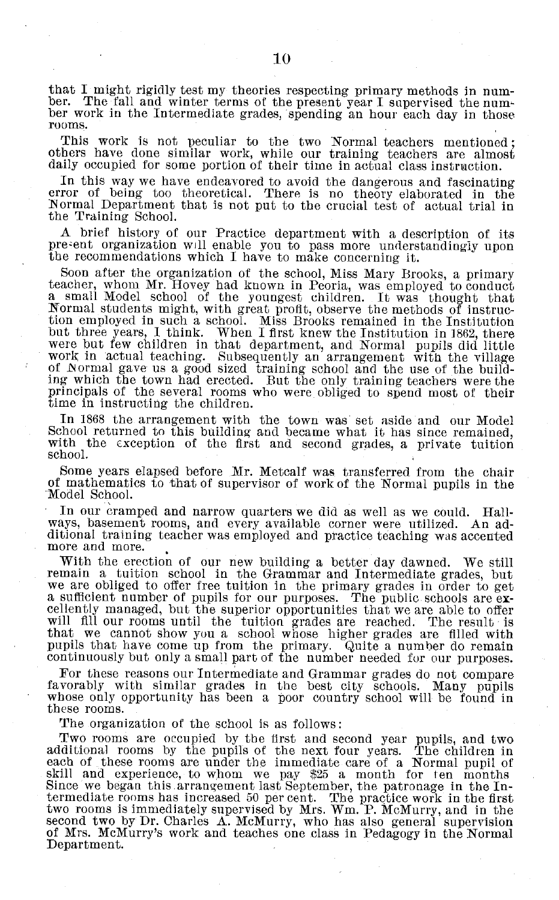that I might rigidly test my theories respecting primary methods in num-<br>ber. The fall and winter terms of the present year I supervised the num-<br>ber work in the Intermediate grades, spending an hour each day in those<br>room

This work is not peculiar to the two Normal teachers mentioned; others have done similar work, while our training teachers are almost daily occupied for some portion of their time in actual class instruction.

In this way we have endeavored to avoid the dangerous and fascinating error of being too theoretical. There is no theory elaborated in the Normal Department that is not put to the crucial test of actual trial in the Training School.

A brief history of our Practice department with a description of its present organization will enable you to pass more understandingly upon the recommendations which I have to make concerning it.

Soon after the organization of the school, Miss Mary Brooks, a primary teacher, whom Mr. Hovey had known in Peoria, was employed to conduct a small Model school of the youngest children. It was thought that Normal students might, with great profit, observe the methods of instruction employed in such a school. Miss Brooks remained in the Institution but three years, I think. When I first knew the Institution in 1862, there were but few children in that department, and Normal pupils did little work in actual teaching. Subsequently an arrangement with the village work in accurate electricity. Subsequent with the village of Normal gave us a good sized training school and the use of the building which the town had erected. But the only training teachers were the principals of the several rooms who were obliged to spend most of their time in instructing the children.

In 1868 the arrangement with the town was set aside and our Model School returned to this building and became what it has since remained, with the exception of the first and second grades, a private tuition school.

Some years elapsed before Mr. Metcalf was transferred from the chair of mathematics to that of supervisor of work of the Normal pupils in the Model School.

In our cramped and narrow quarters we did as well as we could. Hallways, basement rooms, and every available corner were utilized. ditional training teacher was employed and practice teaching was accented more and more.

With the erection of our new building a better day dawned. We still remain a tuition school in the Grammar and Intermediate grades, but we are obliged to offer free tuition in the primary grades in order to get<br>a sufficient number of pupils for our purposes. The public schools are ex-<br>cellently managed, but the superior opportunities that we are able to of will fill our rooms until the tuition grades are reached. The result is that we cannot show you a school whose higher grades are filled with pupils that have come up from the primary. Quite a number do remain continuously but only a small part of the number needed for our purposes.

For these reasons our Intermediate and Grammar grades do not compare favorably with similar grades in the best city schools. Many pupils whose only opportunity has been a poor country school will be found in these rooms.

The organization of the school is as follows:

Two rooms are occupied by the first and second year pupils, and two additional rooms by the pupils of the next four years. The children in each of these rooms are under the immediate care of a Normal pupil of skill and experience, to whom we pay \$25 a month for ten months Since we began this arrangement last September, the patronage in the In-termediate rooms has increased 50 per cent. The practice work in the first two rooms is immediately supervised by Mrs. Wm. P. McMurry, and in the second two by Dr. Charles A. McMurry, who has also general supervision of Mrs. McMurry's work and teaches one class in Pedagogy in the Normal of Mrs. McMurry's work and teaches one class in Pedagogy in the Normal Department.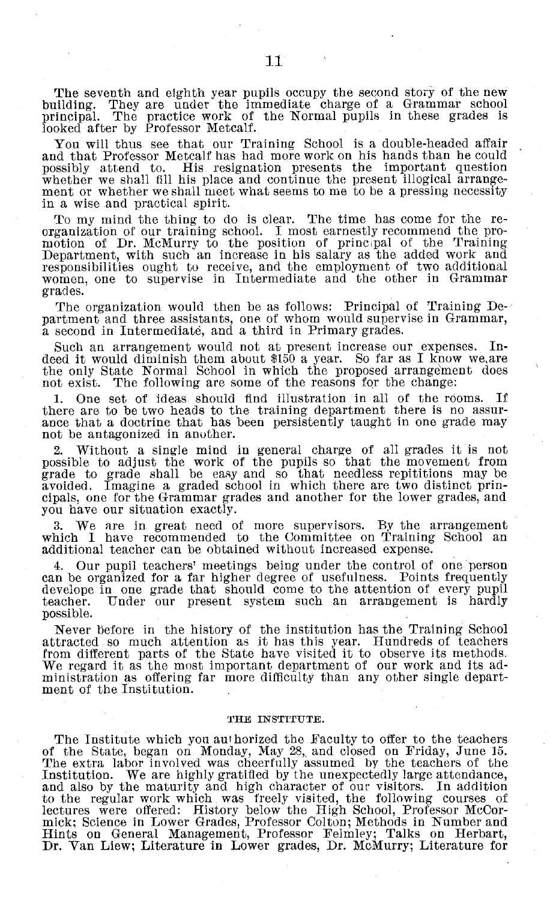The seventh and eighth year pupils occupy the second story of the new building. They are under the immediate charge of a Grammar school principal. The practice work of the Normal pupils in these grades is The practice work of the Normal pupils in these grades is looked after by Professor Metcalf.

You will thus see that our Training School is a double-headed affair and that Professor Metcalf has had more work on his hands than he could possibly attend to. His resignation presents the important question whether we shall fill his place and continue the present illogical arrange-ment or whether we shall meet what seems to me to be a pressing necessity in a wise and practical spirit.

To my mind the thing to do is clear. The time has come for the re- organization of our training school. I most earnestly recommend the promotion of Dr. McMurry to the position of principal of the Training Department, with such an increase in his salary as the added work and responsibilities ought to receive, and the employment of two additional women, one to supervise in Intermediate and the other in Grammar grades.

The organization would then be as follows: Principal of Training Department and three assistants, one of whom would supervise in Grammar, a second in Intermediate, and a third in Primary grades.

Such an arrangement would not at present increase our expenses. Indeed it would diminish them about \$150 a year. So far as I know we,are the only State Normal School in which the proposed arrangement does not exist. The following are some of the reasons for the change:

1. One set of ideas should find illustration in all of the rooms. If there are to be two heads to the training department there is no assur- ance that a doctrine that has been persistently taught in one grade may not be antagonized in another.

2. Without a single mind in general charge of all grades it is not possible to adjust the work of the pupils so that the movement from grade to grade shall be easy and so that needless repititions may be avoided. Imagine a cipals, one for the Grammar grades and another for the lower grades, and you have our situation exactly.

3. We are in great need of more supervisors. By the arrangement which I have recommended to the Committee on Training School an additional teacher can be obtained without increased expense.

4. Our pupil teachers' meetings being under the control of one person can be organized for a far higher degree of usefulness. Points frequently develope in one grade that should come to the attention of every pupil teacher. Under our present system such an arrangement is hardly possible.

Never before in the history of the institution has the Training School attracted so much attention as it has this year. Hundreds of teachers from different parts of the State have visited it to observe its methods. We regard it as the most important department of our work and its administration as offering far more difficulty than any other single department of the Institution.

#### **THE INSTITUTE.**

The Institute which you authorized the Faculty to offer to the teachers of the State, began on Monday, May 28,, and closed on Friday, June 15. The extra labor involved was cheerfully assumed by the teachers of the Institution. We are highly gratified by the unexpectedly large attendance, and also by the maturity and high character of our visitors. In addition<br>to the regular work which was freely visited, the following courses of<br>lectures were offered: History below the High School, Professor McCor-<br>mick; S Hints on General Management, Professor Felmley; Talks on Herbart, Dr. Van Liew; Literature in Lower grades, Dr. McMurry; Literature for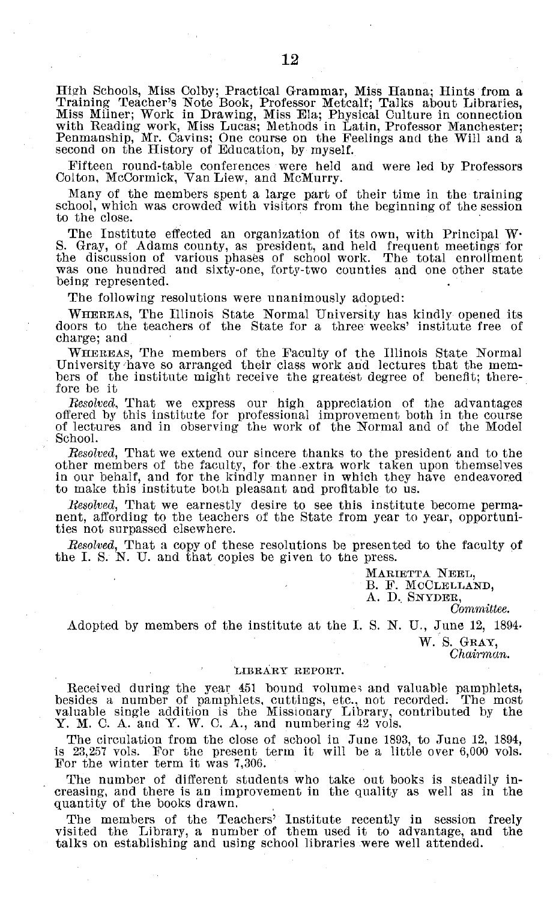High Schools, Miss Colby; Practical Grammar, Miss Hanna; Hints from a Training Teacher's Note Book, Professor Metcalf; Talks about Libraries, Miss Milner; Work in Drawing, Miss Ela; Physical Culture in connection<br>with Reading work, Miss Lucas; Methods in Latin, Professor Manchester;<br>Penmanship, Mr. Cavins; One course on the Feelings and the Will and a<br>second on

Fifteen round-table conferences were held and were led by Professors Colton, McCormick, Van Liew, and McMurry.

Many of the members spent a large part of their time in the training school, which was crowded with visitors from the beginning of the session to the close.

The Institute effected an organization of its own, with Principal W-S. Gray, of Adams county, as president, and held frequent meetings for the discussion of various phases of school work. The total enrollment was one hundr being represented.

The following resolutions were unanimously adopted:

WHEREAS, The Illinois State Normal University has kindly opened its doors to the teachers of the State for a three weeks' institute free of charge; and

WHEREAS, The members of the Faculty of the Illinois State Normal University have so arranged their class work and lectures that the members of the institute might receive the greatest degree of benefit; therebers of the institute might receive the greatest degree of benefit; therefore be it

*Resolved,* That we express our high appreciation of the advantages offered by this institute for professional improvement both in the course of lectures and in observing the work of the Normal and of the Model School.

*Resolved,* That we extend our sincere thanks to the president and to the other members of the faculty, for the-extra work taken upon themselves in our behalf, and for the kindly manner in which they have endeavored to make this institute both pleasant and profitable to us.

*Resolved,* That we earnestly desire to see this institute become permanent, affording to the teachers of the State from year to year, opportuni- ties not surpassed elsewhere.

*Resolved,* That a copy of these resolutions be presented to the faculty of the I. S. N. U. and that copies be given to the press.

> MARIETTA NEEL, B. F. MCCLELLAND, A. D. SNYDER,

*Committee.*

Adopted by members of the institute at the I. S. N. U., June 12, 1894.

W. S. GRAY,

*Chairman.*

#### LIBRARY REPORT.

Received during the year 451 bound volumes and valuable pamphlets, besides a number of pamphlets, cuttings, etc., not recorded. The most valuable single addition is the Missionary Library, contributed by the Y. M. C. A. and Y. W. C. A., and numbering 42 vols.

The circulation from the close of school in June 1893, to June 12, 1894, is 23,257 vols. For the present term it will be a little over 6,000 vols. For the winter term it was 7,306.

The number of different students who take out books is steadily increasing, and there is an improvement in the quality as well as in the quantity of the books drawn.

The members of the Teachers' Institute recently in session freely visited the Library, a number of them used it to advantage, and the talks on establishing and using school libraries were well attended.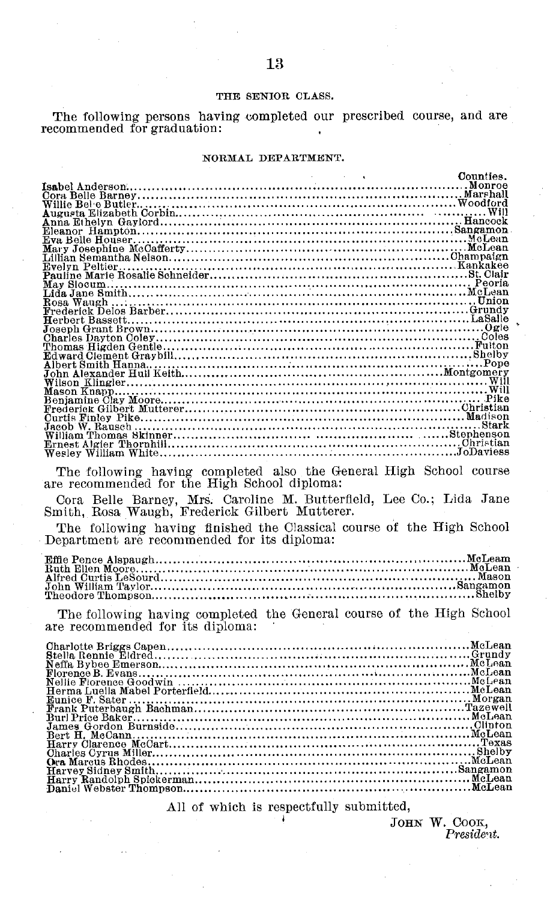#### THE SENIOR CLASS.

The following persons having completed our prescribed course, and are recommended for graduation:

#### NORMAL DEPARTMENT.

| The following having completed also the General High School course |  |
|--------------------------------------------------------------------|--|
| are recommended for the High School diploma:                       |  |
|                                                                    |  |

Cora Belle Barney, Mrs. Caroline M. Butterfield, Lee Co.; Lida Jane Smith, Rosa Waugh, Frederick Gilbert Mutterer.

The following having finished the Classical course of the High School Department are recommended for its diploma:

The following having completed the General course of the High School are recommended for its diploma:

All of which is respectfully submitted,

JOHN W. COOK, President.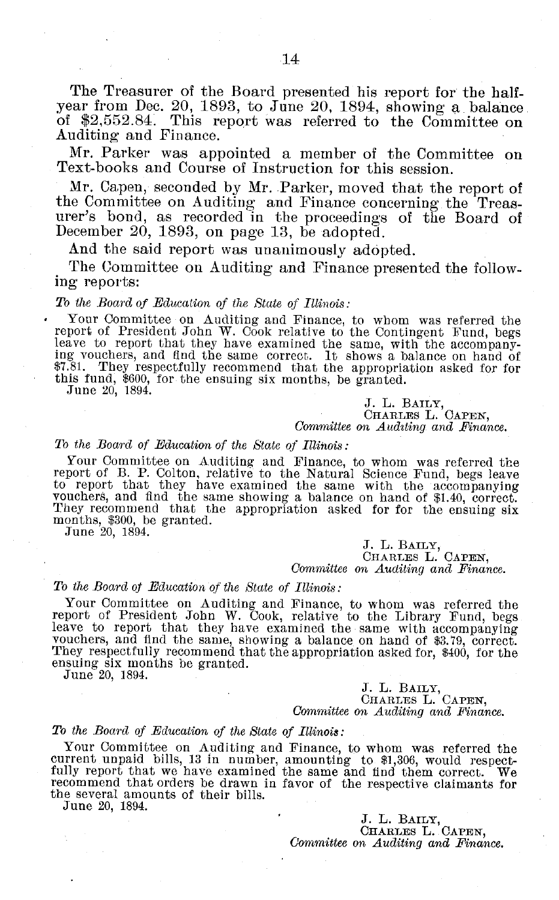The Treasurer of the Board presented his report for the halfyear from Dec. 20, 1893, to June 20, 1894, showing a balance of \$2,552.84. This report was referred to the Committee on Auditing and Finance.

Mr. Parker was appointed a member of the Committee on Text-books and Course of Instruction for this session.

Mr. Capen, seconded by Mr. Parker, moved that the report of the Committee on Auditing and Finance concerning the Treasurer's bond, as recorded in the proceedings of the Board of December 20, 1893, on page 13, be adopted.

And the said report was unanimously adopted.

The Committee on Auditing and Finance presented the following reports:

#### *To the Board of Education of the State of Illinois:*

Your Committee on Auditing and Finance, to whom was referred the report of President John W. Cook relative to the Contingent Fund, begs leave to report that they have examined the same, with the accompany-<br>ing vouchers, and find the same correct. It shows a balance on hand of \$7.81. They respectfully recommend that the appropriation asked for for this fund, \$600, for the ensuing six months, be granted. June 20, 1894.

J. L. BAILY, CHARLES L. CAPEN, *Committee on A udting and Finance.*

#### *To the Board of Education of the State of Illinois:*

Your Committee on Auditing and Finance, to whom was referred the<br>report of B. P. Colton, relative to the Natural Science Fund, begs leave<br>to report that they have examined the same with the accompanying<br>vouchers, and find months, \$300, be granted. June 20, 1894.

J. L. BAILY, CHARLES L. CAPEN, *Committee on Auditing and Finance.*

#### *To the Board of Education of the State of Illinois:*

Your Committee on Auditing and Finance, to whom was referred the<br>report of President John W. Cook, relative to the Library Fund, begg<br>leave to report that they have examined the same with accompanying<br>vouchers, and find th vouchers, and find the same, showing a balance on hand of \$3.79, correct.<br>They respectfully recommend that the appropriation asked for, \$400, for the ensuing six months be granted. June 20, 1894.

J. L. BAILY, CHARLES L. CAPEN, *Committee on Auditing and Finance.*

#### *To the Board of Education of the State of Illinois:*

Your Committee on Auditing and Finance, to whom was referred the current unpaid bills, 13 in number, amounting to \$1,306, would respect-fully report that we have examined the same and find them correct. We recommend that orders be drawn in favor of the respective claimants for the several amounts of their bills.

June 20, 1894.

J. L. BAILY, CHARLES L. **CAPEN,** *Committee on Auditing and Finance.*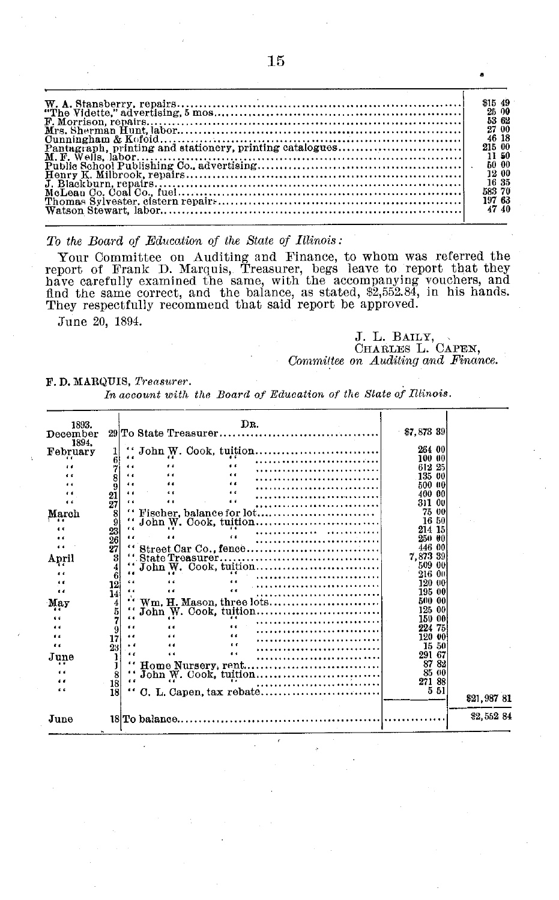| \$15 49 |
|---------|
| 25 00   |
| 53 62   |
| 27 00   |
| 46 18   |
| 215 00  |
| 11 50   |
| 600     |
| 12 00   |
| 16 35   |
| 583 70  |
| 197 63  |
| 47 40   |

*To the Board of Education of the State of Illinois:*

Your Committee on Auditing and Finance, to whom was referred the report of Frank D. Marquis, Treasurer, begs leave to report that they have carefully examined the same, with the accompanying vouchers, and find the same correct, and the balance, as stated, \$2,552.84, in his hands. They respectfully recommend that said report be approved.

June 20, 1894.

J. L. BAILY, **CHARLES** L. **CAPEN,** *Committee on Auditing and Finance.*

a

#### **F. D.** MARQUIS, *Treasurer.*

*In account with the Board of Education of the State of Illinois.*

| 1893.<br>December | DR.                                                                           | \$7,873 39     |             |
|-------------------|-------------------------------------------------------------------------------|----------------|-------------|
| 1894.             |                                                                               |                |             |
| February          |                                                                               | 264 00         |             |
|                   | 6                                                                             | 100 00         |             |
|                   | $\ddot{\phantom{0}}$<br>$\epsilon$<br><br>$\epsilon$                          | 612 25         |             |
|                   | $\epsilon$<br>$\epsilon$<br>44                                                | 135 00         |             |
|                   | $\epsilon$<br>$\epsilon$<br>$\epsilon$                                        | 500<br>400     |             |
| $\epsilon$        | 21<br>$\epsilon$<br>$\epsilon$<br>$\ddot{\phantom{1}}$                        | 311            |             |
|                   | 27                                                                            | 75<br>-01      |             |
| March             | " Fischer, balance for lot<br>8<br>9                                          | -16            |             |
|                   |                                                                               | 214            |             |
|                   | $\frac{23}{26}$<br>$\epsilon$<br>                                             | 950            |             |
|                   | 27<br>"Street Car Co., fence                                                  | 446            |             |
| Anril             | 3                                                                             | 7.873 39       |             |
|                   |                                                                               | 509            |             |
|                   | $\frac{4}{6}$                                                                 |                |             |
| $\epsilon$        | $\epsilon$<br>6.6<br>12                                                       |                |             |
| $\epsilon$        | $\epsilon$<br>$\epsilon$<br>14                                                | 195 00         |             |
| Мау               | $\frac{4}{5}$                                                                 | 500            |             |
|                   |                                                                               | 125<br>-00     |             |
|                   |                                                                               | 150 00         |             |
|                   | 9                                                                             | 224<br>75      |             |
| "                 | $\epsilon$<br>$\epsilon$<br>17<br>$\epsilon$<br>$\epsilon$<br>$\cdot$ $\cdot$ | 120            |             |
| $\epsilon$        | 23<br>$\epsilon$<br>$\epsilon$<br>$\epsilon$                                  | 15<br>50       |             |
| June              |                                                                               | 291            |             |
| 6.6               | "Home Nursery, rent                                                           | 8782<br>-85-00 |             |
|                   | 8<br>$\epsilon$                                                               | 271 88         |             |
| 6.6               | 18<br>18<br>                                                                  | 551            |             |
|                   |                                                                               |                | \$21,987 81 |
| June              |                                                                               |                | \$2,552 84  |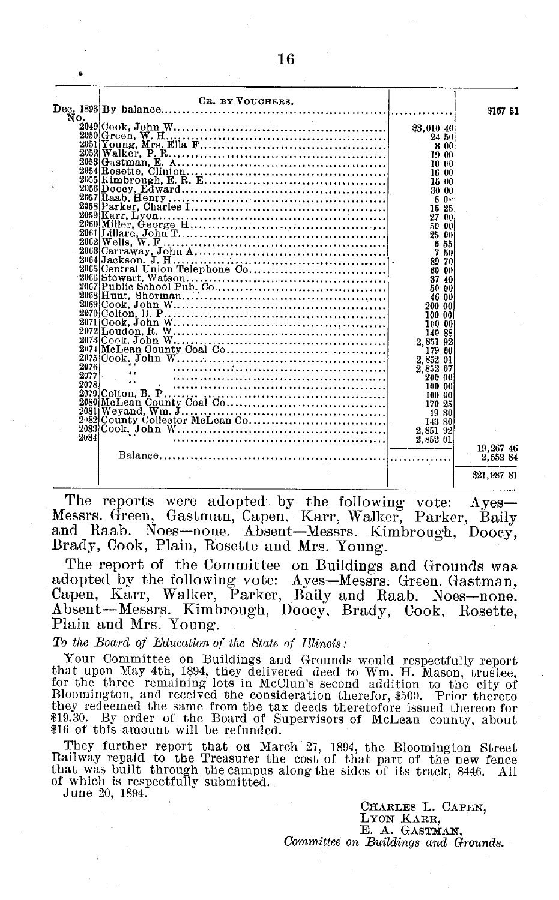|      | CR. BY VOUCHERS. |                                                            | \$167 51    |
|------|------------------|------------------------------------------------------------|-------------|
| No.  |                  |                                                            |             |
|      |                  | \$3,010 40                                                 |             |
|      |                  | 24 50                                                      |             |
|      |                  | 8 00                                                       |             |
|      |                  | 19 00                                                      |             |
|      |                  | 10 00                                                      |             |
|      |                  | 16 00<br>$\begin{array}{c} 16 & 00 \\ 15 & 00 \end{array}$ |             |
|      |                  |                                                            |             |
|      |                  | 30 00                                                      |             |
|      |                  | - 6 0*                                                     |             |
|      |                  | $16\,25$                                                   |             |
|      |                  | 27 00                                                      |             |
|      |                  | 50 00                                                      |             |
|      |                  | 25 00                                                      |             |
|      |                  | 655                                                        |             |
|      |                  | 7 50                                                       |             |
|      |                  | 89 70                                                      |             |
|      |                  | $\begin{array}{cc}\n 60 & 00 \\ 37 & 40\n\end{array}$      |             |
|      |                  |                                                            |             |
|      |                  | 50 00                                                      |             |
|      |                  | 46 00                                                      |             |
|      |                  | 200 00                                                     |             |
|      |                  | 100 00                                                     |             |
|      |                  | 100 00                                                     |             |
|      |                  | 140 88                                                     |             |
|      |                  | 2,851 92                                                   |             |
|      |                  | 17900                                                      |             |
|      |                  | 2,852 01                                                   |             |
| 2076 |                  | 2,852 07                                                   |             |
| 2077 |                  | 200 00                                                     |             |
| 2078 |                  | - 100-00                                                   |             |
|      |                  | - 100-00                                                   |             |
|      |                  | 170 25                                                     |             |
|      |                  | 1930                                                       |             |
|      |                  | 143 80                                                     |             |
|      |                  | 2,851 92                                                   |             |
| 2084 |                  | 2,852 01                                                   |             |
|      |                  |                                                            | 19.267 46   |
|      |                  |                                                            | 2.552 84    |
|      |                  |                                                            | \$21,987 81 |

The reports were adopted by the following vote: Ayes-Messrs. Green, Gastman, Capen. Karr, Walker, Parker, Baily and Raab. Noes-none. Absent-Messrs. Kimbrough, Doocy, Brady, Cook, Plain, Rosette and Mrs. Young.

The report of the Committee on Buildings and Grounds was adopted by the following vote: Ayes-Messrs. Green. Gastman Capen, Karr, Walker, Parker, Baily and Raab. Noes-none. Absent-Messrs. Kimbrough, Doocy, Brady, Cook, Rosette, Plain and Mrs. Young.

*To the Board of Education of the State of Illinois:*

Your Committee on Buildings and Grounds would respectfully report that upon May 4th, 1894, they delivered deed to Wm. H. Mason, trustee, for the three remaining lots in McClun's second addition to the city of Bloomington, and received the consideration therefor, \$500. Prior thereto they redeemed the same from the tax deeds theretofore issued thereon for \$19.30. By order of the Board of Supervisors of McLean county, about \$16 of this amount will be refunded.

They further report that on March 27, 1894, the Bloomington Street Railway repaid to the Treasurer the cost of that part of the new fence that was built through the campus along the sides of its track, \$446. All of which is respectfully submitted. June 20, 1894.

> **CHARLES** L. **CAPEN,** LYON KARR, E. A. GASTMAN, *Committee on Buildings and Grounds.*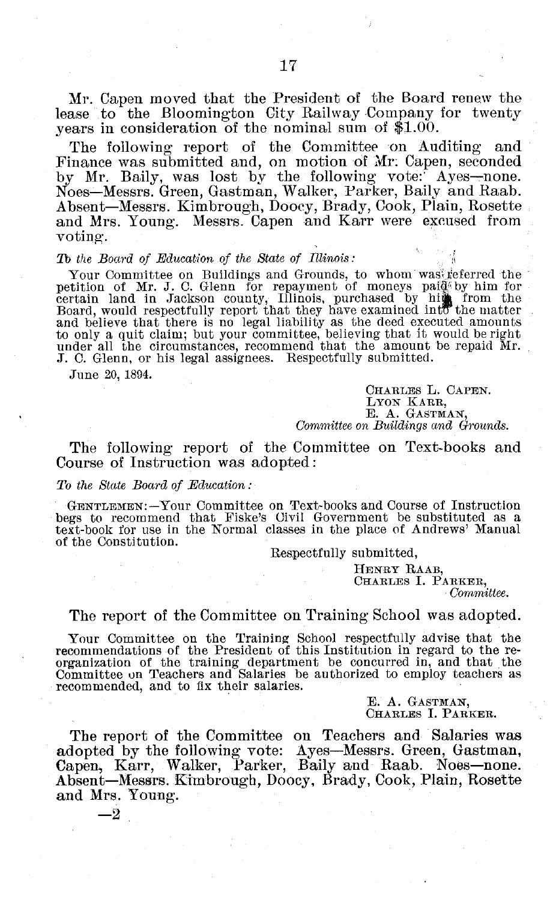Mr. Capen moved that the President of the Board renew the lease to the Bloomington City Railway Company for twenty years in consideration of the nominal sum of \$1.00.

The following report of the Committee on Auditing and Finance was submitted and, on motion of Mr: Capen, seconded by Mr. Baily, was lost by the following vote:' Ayes-none. Noes-Messrs. Green, Gastman, Walker, Parker, Baily and Raab. Absent-Messrs. Kimbrough, Doocy, Brady, Cook, Plain, Rosette and Mrs. Young. Messrs. Capen and Karr were excused from voting.

#### *To the Board of Education of the State of Illinois:*

Your Committee on Buildings and Grounds, to whom was referred the<br>petition of Mr. J. C. Glenn for repayment of moneys paid by him for<br>certain land in Jackson county, Illinois, purchased by him from the<br>Board, would respect and believe that there is no legal liability as the deed executed amounts to only a quit claim; but your committee, believing that it would be right under all the circumstances, recommend that the amount be repaid Mr. J. C. Glenn, or his legal assignees. Respectfully submitted.

June 20, 1894.

CHARLES L. CAPEN. LYON KARR, **E. A.** GASTMAN, *Committee on Buildings and Grounds.*

The following report of the Committee on Text-books and Course of Instruction was adopted:

#### *To the State Board of Education:*

GENTLEMEN:-Your Committee on Text-books and Course of Instruction begs to recommend that Fiske's Civil Government be substituted as a text-book for use in the Normal classes in the place of Andrews' Manual of the Constitution.

Respectfully submitted,

HENRY RAAB, CHARLES I. PARKER,

*Committee.*

#### The report of the Committee on Training School was adopted.

Your Committee on the Training School respectfully advise that the recommendations of the President of this Institution in regard to the rerecommendations of the President of this Institution in regard to the re- organization of the training department be concurred in, and that the Committee on Teachers and Salaries be authorized to employ teachers as recommended, and to fix their salaries.

> E. A. GASTMAN, **CHARLES** I. PARKER.

The report of the Committee on Teachers and Salaries was adopted by the following vote: Ayes-Messrs. Green, Gastman, Capen, Karr, Walker, Parker, Baily and Raab. Noes-none. Absent-Messrs. Kimbrough, Doocy, Brady, Cook, Plain, Rosette and Mrs. Young.

-2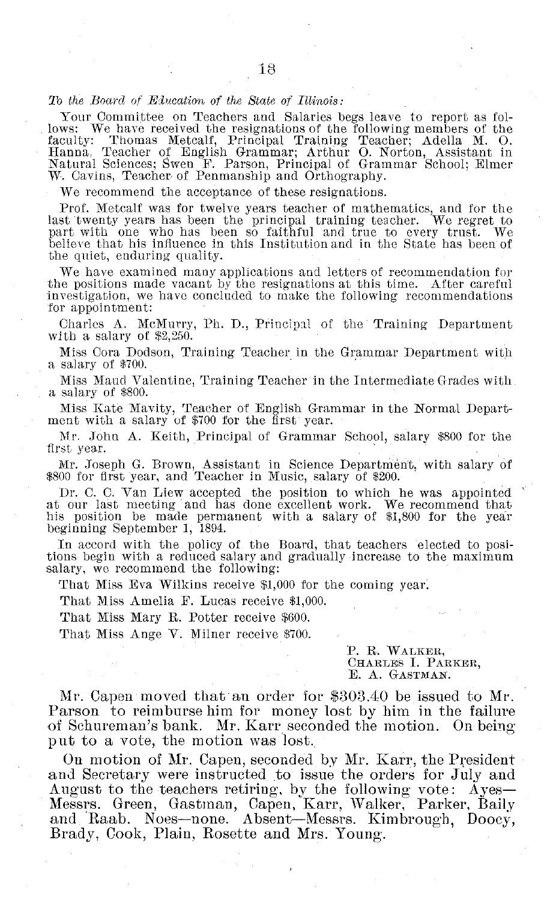#### *To the Board of Elucation of the State of ll1inois:*

Your Committee on Teachers and Salaries begs leave to report as follows: We have received the resignations of the following members of the faculty: Thomas Metcalf, Principal Training Teacher; Adella M. 0. Hanna, Teacher of English Grammar; Arthur 0. Norton, Assistant in Natural Sciences; Swen F. Parson, Principal of Grammar School; Elmer W. Cavins, Teacher of Penmanship and Orthography.

We recommend the acceptance of these resignations.

Prof. Metcalf was for twelve years teacher of mathematics, and for the last twenty years has been the principal training teacher. We regret to part with one who has been so faithful and true to every trust. We believe that his influence in this Institution and in the State has been of the quiet, enduring quality.

We have examined many applications and letters of recommendation for the positions made vacant by the resignations at this time. After careful investigation, we have concluded to make the following recommendations for appointment:

Charles A. McMurry, Ph. D., Principal of the Training Department with a salary of \$2,250.

Miss Cora Dodson, Training Teacher in the Grammar Department with a salary of \$700.

Miss Maud Valentine, Training Teacher in the Intermediate Grades with a salary of \$800.

Miss Kate Mavity, Teacher of English Grammar in the Normal Department with a salary of \$700 for the first year.

Mr. John A. Keith, Principal of Grammar School, salary \$800 for the first year.

Mr. Joseph G. Brown, Assistant in Science Department, with salary of \$800 for first year, and Teacher in Music, salary of \$200.

Dr. C. C. Van Liew accepted the position to which he was appointed at our last meeting and has cone excellent work. We recommend that his position be made permanent with a salary of \$1,800 for the year beginning September 1, 1894.

In accord with the policy of the Board, that teachers elected to posi- tions begin with a reduced salary and gradually increase to the maximum salary, we recommend the following:

That Miss Eva Wilkins receive \$1,000 for the coming year.

That Miss Amelia F. Lucas receive \$1,000.

That Miss Mary R. Potter receive \$600.

That Miss Ange V. Milner receive \$700.

#### P. R. WALKER, CHARLES I. PARKER, E. A. GASTMAN.

Mr. Capen moved that an order for \$303.40 be issued to Mr. Parson to reimburse him for money lost by him in the failure of Schureman's bank. Mr. Karr seconded the motion. On being put to a vote, the motion was lost.

On motion of Mr. Capen, seconded by Mr. Karr, the President and Secretary were instructed to issue the orders for July and August to the teachers retiring, by the following vote: Ayes-Messrs. Green, Gastman, Capen, Karr, Walker, Parker, Baily and Raab. Noes-none. Absent-Messrs. Kimbrough, Doocy, Brady, Cook, Plain, Rosette and Mrs. Young.